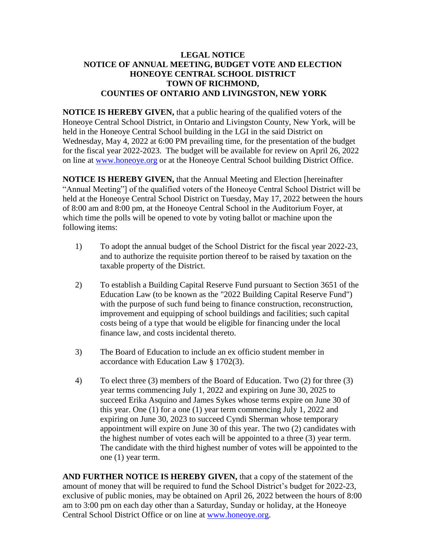## **LEGAL NOTICE NOTICE OF ANNUAL MEETING, BUDGET VOTE AND ELECTION HONEOYE CENTRAL SCHOOL DISTRICT TOWN OF RICHMOND, COUNTIES OF ONTARIO AND LIVINGSTON, NEW YORK**

**NOTICE IS HEREBY GIVEN,** that a public hearing of the qualified voters of the Honeoye Central School District, in Ontario and Livingston County, New York, will be held in the Honeoye Central School building in the LGI in the said District on Wednesday, May 4, 2022 at 6:00 PM prevailing time, for the presentation of the budget for the fiscal year 2022-2023. The budget will be available for review on April 26, 2022 on line at [www.honeoye.org](http://www.honeoye.org/) or at the Honeoye Central School building District Office.

**NOTICE IS HEREBY GIVEN,** that the Annual Meeting and Election [hereinafter "Annual Meeting"] of the qualified voters of the Honeoye Central School District will be held at the Honeoye Central School District on Tuesday, May 17, 2022 between the hours of 8:00 am and 8:00 pm, at the Honeoye Central School in the Auditorium Foyer, at which time the polls will be opened to vote by voting ballot or machine upon the following items:

- 1) To adopt the annual budget of the School District for the fiscal year 2022-23, and to authorize the requisite portion thereof to be raised by taxation on the taxable property of the District.
- 2) To establish a Building Capital Reserve Fund pursuant to Section 3651 of the Education Law (to be known as the "2022 Building Capital Reserve Fund") with the purpose of such fund being to finance construction, reconstruction, improvement and equipping of school buildings and facilities; such capital costs being of a type that would be eligible for financing under the local finance law, and costs incidental thereto.
- 3) The Board of Education to include an ex officio student member in accordance with Education Law § 1702(3).
- 4) To elect three (3) members of the Board of Education. Two (2) for three (3) year terms commencing July 1, 2022 and expiring on June 30, 2025 to succeed Erika Asquino and James Sykes whose terms expire on June 30 of this year. One (1) for a one (1) year term commencing July 1, 2022 and expiring on June 30, 2023 to succeed Cyndi Sherman whose temporary appointment will expire on June 30 of this year. The two (2) candidates with the highest number of votes each will be appointed to a three (3) year term. The candidate with the third highest number of votes will be appointed to the one (1) year term.

**AND FURTHER NOTICE IS HEREBY GIVEN,** that a copy of the statement of the amount of money that will be required to fund the School District's budget for 2022-23, exclusive of public monies, may be obtained on April 26, 2022 between the hours of 8:00 am to 3:00 pm on each day other than a Saturday, Sunday or holiday, at the Honeoye Central School District Office or on line at [www.honeoye.org.](http://www.honeoye.org/)